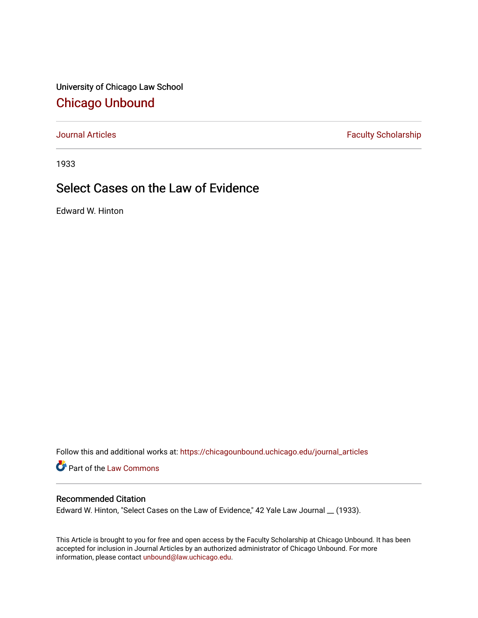University of Chicago Law School [Chicago Unbound](https://chicagounbound.uchicago.edu/)

[Journal Articles](https://chicagounbound.uchicago.edu/journal_articles) **Faculty Scholarship Faculty Scholarship** 

1933

## Select Cases on the Law of Evidence

Edward W. Hinton

Follow this and additional works at: [https://chicagounbound.uchicago.edu/journal\\_articles](https://chicagounbound.uchicago.edu/journal_articles?utm_source=chicagounbound.uchicago.edu%2Fjournal_articles%2F9369&utm_medium=PDF&utm_campaign=PDFCoverPages) 

Part of the [Law Commons](http://network.bepress.com/hgg/discipline/578?utm_source=chicagounbound.uchicago.edu%2Fjournal_articles%2F9369&utm_medium=PDF&utm_campaign=PDFCoverPages)

## Recommended Citation

Edward W. Hinton, "Select Cases on the Law of Evidence," 42 Yale Law Journal \_\_ (1933).

This Article is brought to you for free and open access by the Faculty Scholarship at Chicago Unbound. It has been accepted for inclusion in Journal Articles by an authorized administrator of Chicago Unbound. For more information, please contact [unbound@law.uchicago.edu](mailto:unbound@law.uchicago.edu).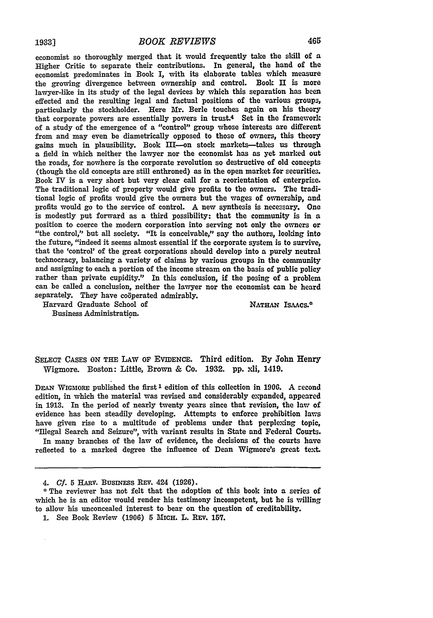economist so thoroughly merged that it would frequently take the skill of a Higher Critic to separate their contributions. In general, the hand of the economist predominates in Book I, with its elaborate tables which measure the growing divergence between ownership and control. Book **H** is more lawyer-like in its study of the legal devices **by** which this separation has been effected and the resulting legal and factual positions of the various groups, particularly the stockholder. Here Mr. Berle touches again on his theory that corporate powers are essentially powers in trust.4 Set in the framework of a study of the emergence of a "control" group whose interests are different from and may even be diametrically opposed to those of owners, this theory gains much in plausibility. Book III-on stock markets-takes us through a field in which neither the lawyer nor the economist has as yet marked out the roads, for nowhere is the corporate revolution so destructive of old concepts (though the old concepts are still enthroned) as in the open market for securities. Book IV is a very short but very clear call for a reorientation of enterprise. The traditional logic of property would give profits to the owners. The traditional logic of profits would give the owners but the wages of ownership, and profits would go to the service of control. **A** new synthesis is necessary. One is modestly put forward as a third possibility: that the community is in a position to coerce the modern corporation into serving not only the owners or "the control," but all society. "It is conceivable," say the authors, looking into the future, "indeed it seems almost essential if the corporate system is to survive, that the 'control' of the great corporations should develop into a purely neutral technocracy, balancing a variety of claims **by** various groups in the community and assigning to each a portion of the income stream on the basis of public policy rather than private cupidity." In this conclusion, if the posing of a problem can be called a conclusion, neither the lawyer nor the economist can be heard separately. They have coöperated admirably.

Harvard Graduate School of NATHAN ISAACS.<sup>\*</sup>

Business Administration.

**SELECT CASES ON THE** LAW OF EVIDENCE. Third edition. **By** John Henry Wigmore. Boston: Little, Brown **&** Co. **1932. pp.** xli, 1419.

**DEAN WIGMORE** published the **first I** edition of this collection in **1900.** A -econd edition, in which the material was revised and considerably expanded, appeared in **1913.** In the period of nearly twenty years since that revision, the law of evidence has been steadily developing. Attempts to enforce prohibition laws have given rise to a multitude of problems under that perplexing topic, "Illegal Search and Seizure", with variant results in State and Federal Courts.

In many branches of the law of evidence, the decisions of the courts have reflected to a marked degree the influence of Dean Wigmore's great text.

<sup>4.</sup> **Cf. 5 HARv.** BusNEss **REv.** 424 **(1926).**

<sup>\*</sup> The reviewer has not felt that the adoption of this book into a series of which he is an editor would render his testimony incompetent, but he is willing to allow his unconcealed interest to bear on the question of creditability.

<sup>1.</sup> See Book Review (1906) 5 MICH. L. REV. 157.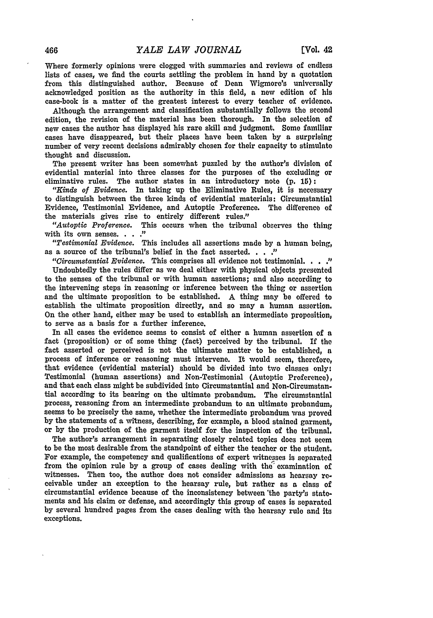Where formerly opinions were clogged with summaries and reviews of endless lists of cases, we find the courts settling the problem in hand by a quotation from this distinguished author. Because of Dean Wigmore's universally acknowledged position as the authority in this field, a new edition of his case-book is a matter of the greatest interest to every teacher of evidence.

Although the arrangement and classification substantially follows the second edition, the revision of the material has been thorough. In the selection of new cases the author has displayed his rare skill and judgment. Some familiar cases have disappeared, but their places have been taken **by** a surprising number of very recent decisions admirably chosen for their capacity to stimulate thought and discussion.

The present writer has been somewhat puzzled **by** the author's division of evidential material into three classes for the purposes of the excluding or eliminative rules. The author states in an introductory note **(p. 15):**

*"Kinds of Evidence.* In taking up the Eliminative Rules, it is necessary to distinguish between the three kinds of evidential materials: Circumstantial Evidence, Testimonial Evidence, and Autoptic Preference. The difference of the materials gives rise to entirely different rules."

*"Autoptic Proference.* This occurs when the tribunal observes the thing with its own senses. . . . "

*"Testimonial Evidence.* This includes all assertions made by a human being, as a source of the tribunal's belief in the fact asserted. . . . "

*"Circumstantial Evidence.* This comprises all evidence not testimonial. **.. .**

Undoubtedly the rules differ as we deal either with physical objects presented to the senses of the tribunal or with human assertions; and also according to the intervening steps in reasoning or inference between the thing or assertion and the ultimate proposition to be established. A thing may be offered to establish the ultimate proposition directly, and so may a human assertion. On the other hand, either may be used to establish an intermediate proposition, to serve as a basis for a further inference.

In all cases the evidence seems to consist of either a human assertion of a fact (proposition) or of some thing (fact) perceived by the tribunal. **If** the fact asserted or perceived is not the ultimate matter to be established, a process of inference or reasoning must intervene. It would seem, therefore, that evidence (evidential material) should be divided into two classes only: Testimonial (human assertions) and Non-Testimonial (Autoptic Preference), and that each class might be subdivided into Circumstantial and Non-Circumstantial according to its bearing on the ultimate probandum. The circumstantial process, reasoning from an intermediate probandum to an ultimate probandum, seems to be precisely the same, whether the intermediate probandum was proved by the statements of a witness, describing, for example, a blood stained garment, or by the production of the garment itself for the inspection of the tribunal.

The author's arrangement in separating closely related topics does not seem to be the most desirable from the standpoint of either the teacher or the student. For example, the competency and qualifications of expert witnesses is separated from the opinion rule by a group of cases dealing with the' examination of witnesses. Then too, the author does not consider admissions as hearsay receivable under an exception to the hearsay rule, but rather as a class of circumstantial evidence because of the inconsistency between 'the party's statements and his claim or defense, and accordingly this group of cases is separated by several hundred pages from the cases dealing with the hearsay rule and its exceptions.